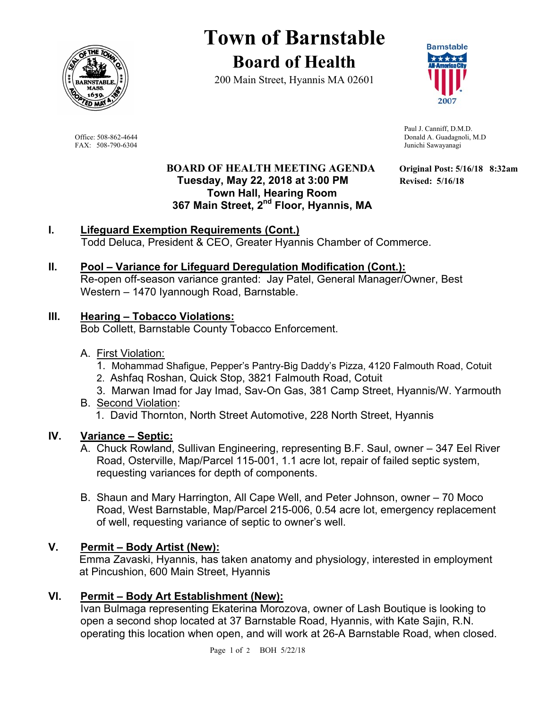

# **Town of Barnstable Board of Health**

200 Main Street, Hyannis MA 02601



 Paul J. Canniff, D.M.D. Office: 508-862-4644<br>
FAX: 508-790-6304<br>
FAX: 508-790-6304<br>
Donald A. Guadagnoli, M.D Junichi Sawayanagi

#### **BOARD OF HEALTH MEETING AGENDA Original Post: 5/16/18 8:32am Tuesday, May 22, 2018 at 3:00 PM Revised: 5/16/18 Town Hall, Hearing Room 367 Main Street, 2nd Floor, Hyannis, MA**

**I. Lifeguard Exemption Requirements (Cont.)**  Todd Deluca, President & CEO, Greater Hyannis Chamber of Commerce.

#### **II. Pool – Variance for Lifeguard Deregulation Modification (Cont.):**

Re-open off-season variance granted: Jay Patel, General Manager/Owner, Best Western – 1470 Iyannough Road, Barnstable.

#### **III. Hearing – Tobacco Violations:**

Bob Collett, Barnstable County Tobacco Enforcement.

- A. First Violation:
	- 1. Mohammad Shafigue, Pepper's Pantry-Big Daddy's Pizza, 4120 Falmouth Road, Cotuit
	- 2. Ashfaq Roshan, Quick Stop, 3821 Falmouth Road, Cotuit
	- 3. Marwan Imad for Jay Imad, Sav-On Gas, 381 Camp Street, Hyannis/W. Yarmouth
- B. Second Violation: 1. David Thornton, North Street Automotive, 228 North Street, Hyannis

#### **IV. Variance – Septic:**

- A. Chuck Rowland, Sullivan Engineering, representing B.F. Saul, owner 347 Eel River Road, Osterville, Map/Parcel 115-001, 1.1 acre lot, repair of failed septic system, requesting variances for depth of components.
- B. Shaun and Mary Harrington, All Cape Well, and Peter Johnson, owner 70 Moco Road, West Barnstable, Map/Parcel 215-006, 0.54 acre lot, emergency replacement of well, requesting variance of septic to owner's well.

# **V. Permit – Body Artist (New):**

Emma Zavaski, Hyannis, has taken anatomy and physiology, interested in employment at Pincushion, 600 Main Street, Hyannis

#### **VI. Permit – Body Art Establishment (New):**

Ivan Bulmaga representing Ekaterina Morozova, owner of Lash Boutique is looking to open a second shop located at 37 Barnstable Road, Hyannis, with Kate Sajin, R.N. operating this location when open, and will work at 26-A Barnstable Road, when closed.